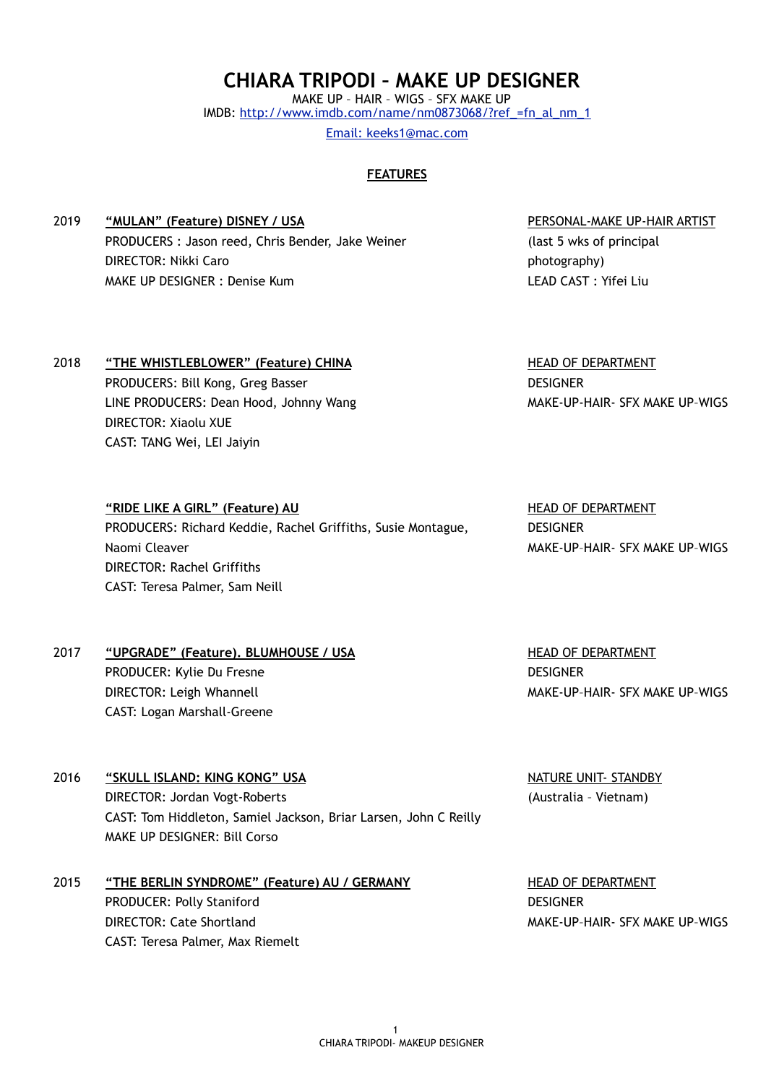$1$ CHIARA TRIPODI- MAKEUP DESIGNER

# **CHIARA TRIPODI – MAKE UP DESIGNER**

MAKE UP – HAIR – WIGS – SFX MAKE UP IMDB: [http://www.imdb.com/name/nm0873068/?ref\\_=fn\\_al\\_nm\\_1](http://www.imdb.com/name/nm0873068/?ref_=fn_al_nm_1)  Email: keeks1@mac.com

### **FEATURES**

2019 **"MULAN" (Feature) DISNEY / USA**  PRODUCERS : Jason reed, Chris Bender, Jake Weiner DIRECTOR: Nikki Caro MAKE UP DESIGNER : Denise Kum

#### PERSONAL-MAKE UP-HAIR ARTIST

(last 5 wks of principal photography) LEAD CAST : Yifei Liu

## 2018 **"THE WHISTLEBLOWER" (Feature) CHINA**

**"RIDE LIKE A GIRL" (Feature) AU** 

DIRECTOR: Rachel Griffiths CAST: Teresa Palmer, Sam Neill

Naomi Cleaver

PRODUCERS: Bill Kong, Greg Basser LINE PRODUCERS: Dean Hood, Johnny Wang DIRECTOR: Xiaolu XUE CAST: TANG Wei, LEI Jaiyin

HEAD OF DEPARTMENT **DESIGNER** MAKE-UP-HAIR- SFX MAKE UP–WIGS

HEAD OF DEPARTMENT DESIGNER MAKE-UP–HAIR- SFX MAKE UP–WIGS

HEAD OF DEPARTMENT DESIGNER MAKE-UP–HAIR- SFX MAKE UP–WIGS

## 2016 **"SKULL ISLAND: KING KONG" USA**  DIRECTOR: Jordan Vogt-Roberts CAST: Tom Hiddleton, Samiel Jackson, Briar Larsen, John C Reilly MAKE UP DESIGNER: Bill Corso

PRODUCERS: Richard Keddie, Rachel Griffiths, Susie Montague,

### 2015 **"THE BERLIN SYNDROME" (Feature) AU / GERMANY**  PRODUCER: Polly Staniford DIRECTOR: Cate Shortland CAST: Teresa Palmer, Max Riemelt

NATURE UNIT- STANDBY (Australia – Vietnam)

HEAD OF DEPARTMENT DESIGNER MAKE-UP–HAIR- SFX MAKE UP–WIGS

| PRODUCER: Kylie Du Fresne   |
|-----------------------------|
| DIRECTOR: Leigh Whannell    |
| CAST: Logan Marshall-Greene |

2017 **"UPGRADE" (Feature). BLUMHOUSE / USA**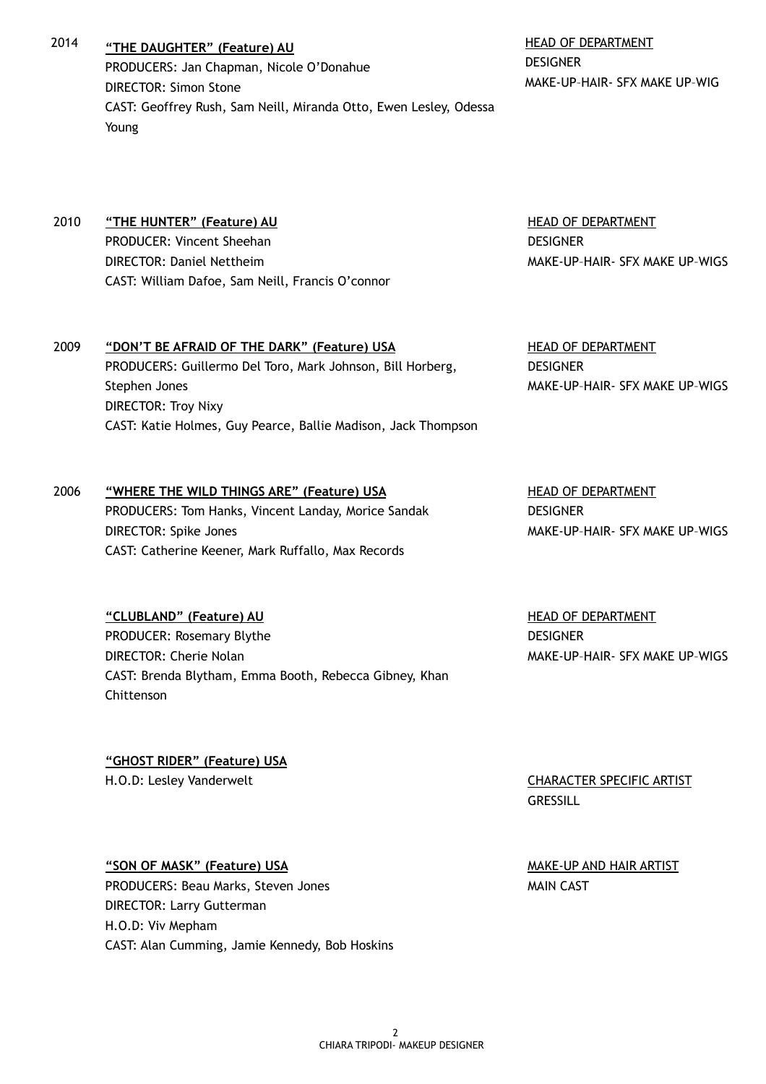2014 **"THE DAUGHTER" (Feature) AU**  PRODUCERS: Jan Chapman, Nicole O'Donahue DIRECTOR: Simon Stone CAST: Geoffrey Rush, Sam Neill, Miranda Otto, Ewen Lesley, Odessa Young

HEAD OF DEPARTMENT **DESIGNER** MAKE-UP–HAIR- SFX MAKE UP–WIG

## 2010 **"THE HUNTER" (Feature) AU**  PRODUCER: Vincent Sheehan DIRECTOR: Daniel Nettheim CAST: William Dafoe, Sam Neill, Francis O'connor

HEAD OF DEPARTMENT **DESIGNER** MAKE-UP–HAIR- SFX MAKE UP–WIGS

HEAD OF DEPARTMENT

**DESIGNER** 

### 2009 **"DON'T BE AFRAID OF THE DARK" (Feature) USA**  PRODUCERS: Guillermo Del Toro, Mark Johnson, Bill Horberg, Stephen Jones DIRECTOR: Troy Nixy CAST: Katie Holmes, Guy Pearce, Ballie Madison, Jack Thompson

### 2006 **"WHERE THE WILD THINGS ARE" (Feature) USA**

PRODUCERS: Tom Hanks, Vincent Landay, Morice Sandak DIRECTOR: Spike Jones CAST: Catherine Keener, Mark Ruffallo, Max Records

### **"CLUBLAND" (Feature) AU**

PRODUCER: Rosemary Blythe DIRECTOR: Cherie Nolan CAST: Brenda Blytham, Emma Booth, Rebecca Gibney, Khan Chittenson

**"GHOST RIDER" (Feature) USA**  H.O.D: Lesley Vanderwelt CHARACTER SPECIFIC ARTIST

## **"SON OF MASK" (Feature) USA**

PRODUCERS: Beau Marks, Steven Jones DIRECTOR: Larry Gutterman H.O.D: Viv Mepham CAST: Alan Cumming, Jamie Kennedy, Bob Hoskins HEAD OF DEPARTMENT **DESIGNER** MAKE-UP–HAIR- SFX MAKE UP–WIGS

MAKE-UP–HAIR- SFX MAKE UP–WIGS

HEAD OF DEPARTMENT DESIGNER MAKE-UP–HAIR- SFX MAKE UP–WIGS

**GRESSILL** 

MAKE-UP AND HAIR ARTIST MAIN CAST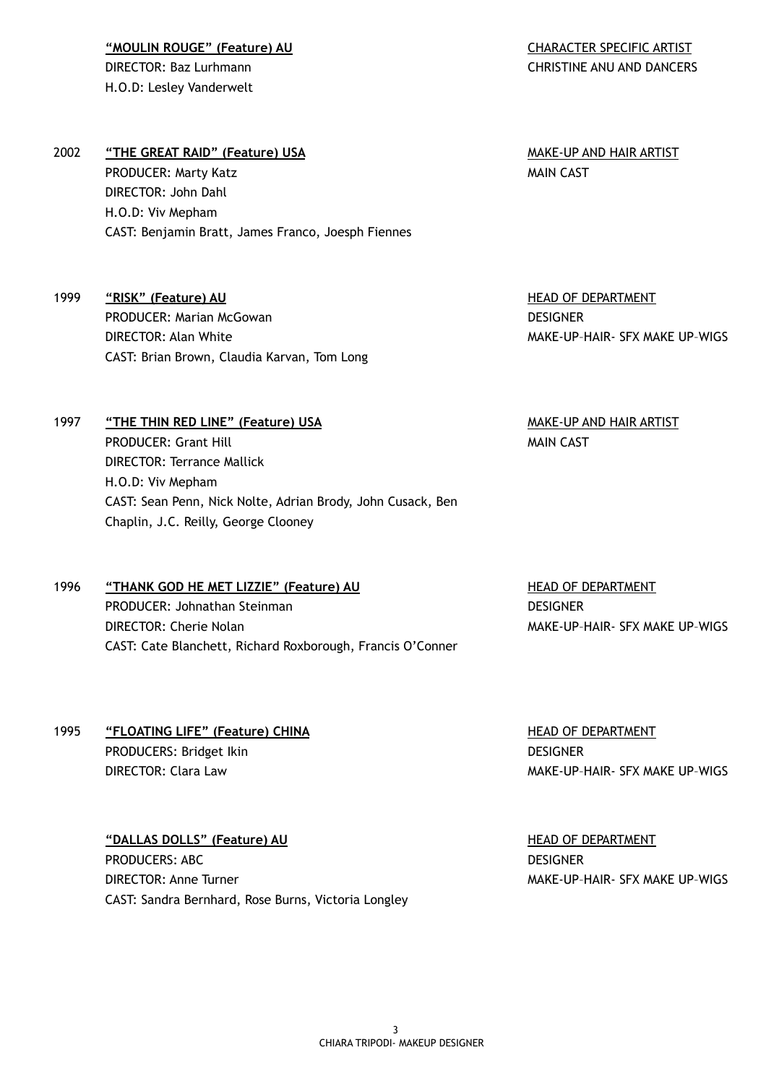**"MOULIN ROUGE" (Feature) AU**  DIRECTOR: Baz Lurhmann H.O.D: Lesley Vanderwelt

### 2002 **"THE GREAT RAID" (Feature) USA**  PRODUCER: Marty Katz

DIRECTOR: John Dahl H.O.D: Viv Mepham CAST: Benjamin Bratt, James Franco, Joesph Fiennes

1999 **"RISK" (Feature) AU**  PRODUCER: Marian McGowan DIRECTOR: Alan White CAST: Brian Brown, Claudia Karvan, Tom Long

1997 **"THE THIN RED LINE" (Feature) USA**  PRODUCER: Grant Hill DIRECTOR: Terrance Mallick H.O.D: Viv Mepham CAST: Sean Penn, Nick Nolte, Adrian Brody, John Cusack, Ben Chaplin, J.C. Reilly, George Clooney

1996 **"THANK GOD HE MET LIZZIE" (Feature) AU**  PRODUCER: Johnathan Steinman DIRECTOR: Cherie Nolan CAST: Cate Blanchett, Richard Roxborough, Francis O'Conner

1995 **"FLOATING LIFE" (Feature) CHINA**  PRODUCERS: Bridget Ikin DIRECTOR: Clara Law

> **"DALLAS DOLLS" (Feature) AU**  PRODUCERS: ABC DIRECTOR: Anne Turner CAST: Sandra Bernhard, Rose Burns, Victoria Longley

MAKE-UP AND HAIR ARTIST MAIN CAST

HEAD OF DEPARTMENT DESIGNER MAKE-UP–HAIR- SFX MAKE UP–WIGS

MAKE-UP AND HAIR ARTIST MAIN CAST

HEAD OF DEPARTMENT

**DESIGNER** 

MAKE-UP–HAIR- SFX MAKE UP–WIGS

HEAD OF DEPARTMENT **DESIGNER** MAKE-UP–HAIR- SFX MAKE UP–WIGS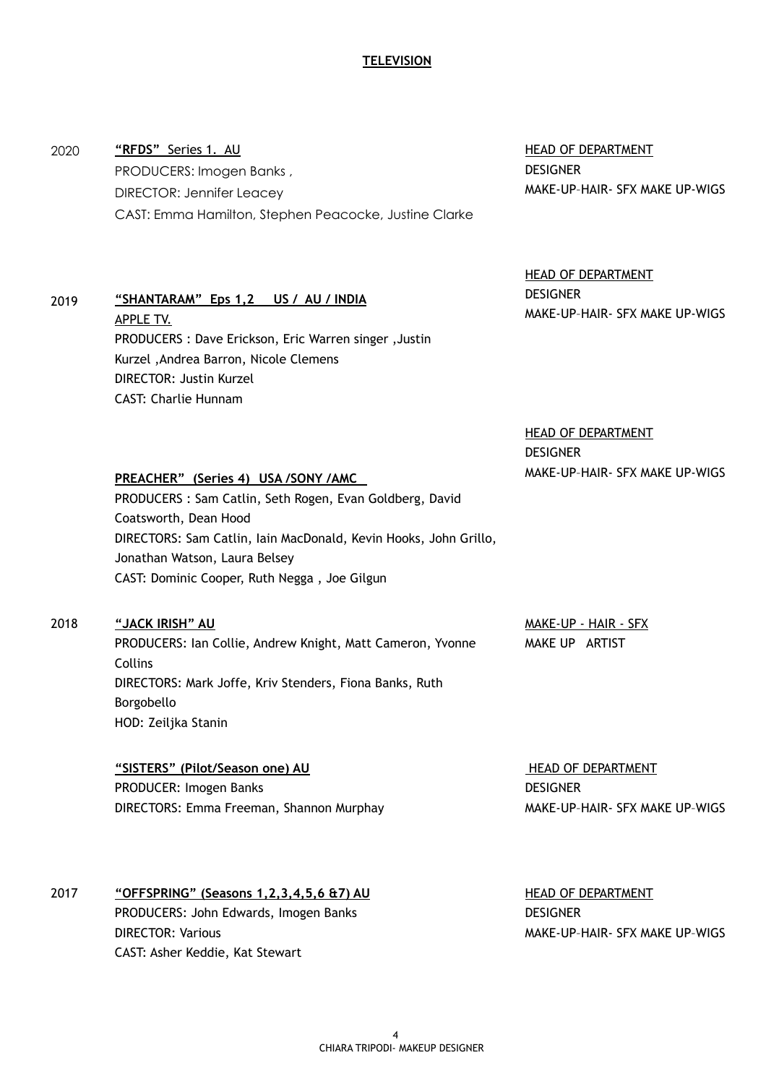### **TELEVISION**

## **"RFDS"** Series 1. AU PRODUCERS: Imogen Banks , DIRECTOR: Jennifer Leacey CAST: Emma Hamilton, Stephen Peacocke, Justine Clarke

HEAD OF DEPARTMENT **DESIGNER** MAKE-UP–HAIR- SFX MAKE UP-WIGS

HEAD OF DEPARTMENT DESIGNER MAKE-UP–HAIR- SFX MAKE UP-WIGS

HEAD OF DEPARTMENT DESIGNER MAKE-UP–HAIR- SFX MAKE UP-WIGS

#### **PREACHER" (Series 4) USA /SONY /AMC**

**"SHANTARAM" Eps 1,2 US / AU / INDIA** 

Kurzel ,Andrea Barron, Nicole Clemens

DIRECTOR: Justin Kurzel CAST: Charlie Hunnam

PRODUCERS : Dave Erickson, Eric Warren singer ,Justin

PRODUCERS : Sam Catlin, Seth Rogen, Evan Goldberg, David Coatsworth, Dean Hood DIRECTORS: Sam Catlin, Iain MacDonald, Kevin Hooks, John Grillo, Jonathan Watson, Laura Belsey CAST: Dominic Cooper, Ruth Negga , Joe Gilgun

#### 2018 **"JACK IRISH" AU**

APPLE TV.

2020

2019

PRODUCERS: Ian Collie, Andrew Knight, Matt Cameron, Yvonne Collins DIRECTORS: Mark Joffe, Kriv Stenders, Fiona Banks, Ruth Borgobello HOD: Zeiljka Stanin

MAKE-UP - HAIR - SFX MAKE UP ARTIST

**"SISTERS" (Pilot/Season one) AU**  PRODUCER: Imogen Banks DIRECTORS: Emma Freeman, Shannon Murphay

 HEAD OF DEPARTMENT DESIGNER MAKE-UP–HAIR- SFX MAKE UP–WIGS

2017 **"OFFSPRING" (Seasons 1,2,3,4,5,6 &7) AU**  PRODUCERS: John Edwards, Imogen Banks DIRECTOR: Various CAST: Asher Keddie, Kat Stewart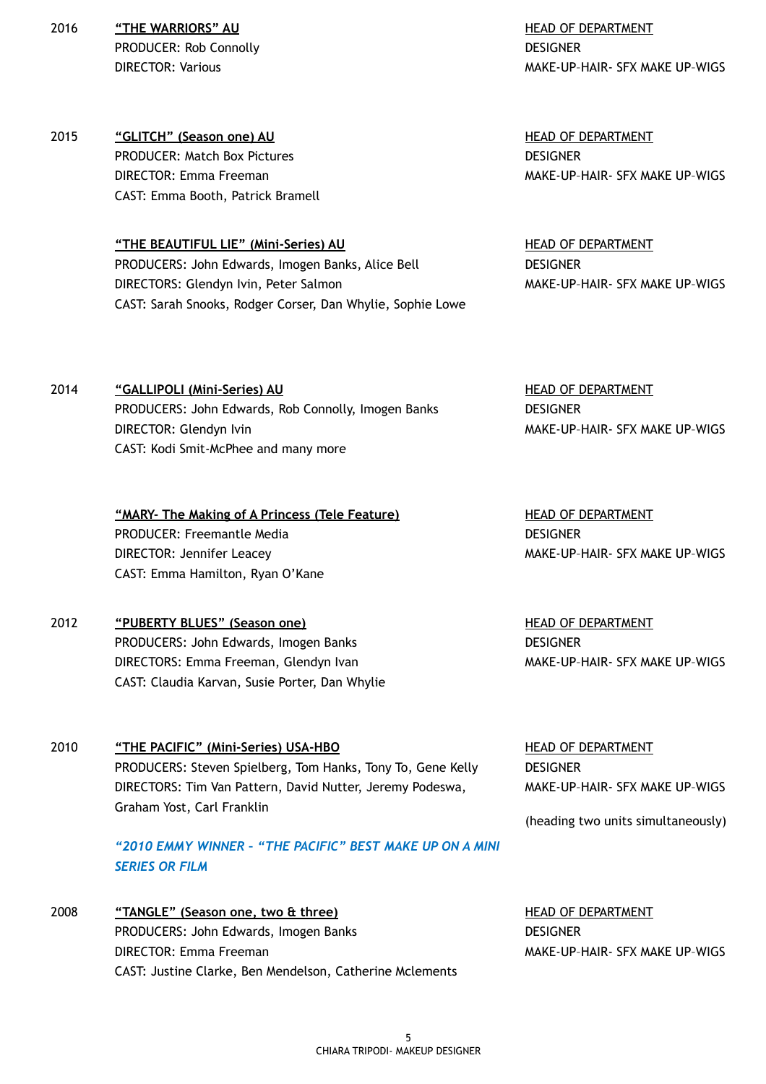2016 **"THE WARRIORS" AU**  PRODUCER: Rob Connolly DIRECTOR: Various

2015 **"GLITCH" (Season one) AU**  PRODUCER: Match Box Pictures DIRECTOR: Emma Freeman CAST: Emma Booth, Patrick Bramell

> **"THE BEAUTIFUL LIE" (Mini-Series) AU**  PRODUCERS: John Edwards, Imogen Banks, Alice Bell DIRECTORS: Glendyn Ivin, Peter Salmon CAST: Sarah Snooks, Rodger Corser, Dan Whylie, Sophie Lowe

HEAD OF DEPARTMENT **DESIGNER** MAKE-UP–HAIR- SFX MAKE UP–WIGS

HEAD OF DEPARTMENT DESIGNER MAKE-UP–HAIR- SFX MAKE UP–WIGS

HEAD OF DEPARTMENT **DESIGNER** MAKE-UP–HAIR- SFX MAKE UP–WIGS

HEAD OF DEPARTMENT

**DESIGNER** 

2014 **"GALLIPOLI (Mini-Series) AU**  PRODUCERS: John Edwards, Rob Connolly, Imogen Banks DIRECTOR: Glendyn Ivin CAST: Kodi Smit-McPhee and many more

> **"MARY- The Making of A Princess (Tele Feature)**  PRODUCER: Freemantle Media DIRECTOR: Jennifer Leacey CAST: Emma Hamilton, Ryan O'Kane

- 2012 **"PUBERTY BLUES" (Season one)**  PRODUCERS: John Edwards, Imogen Banks DIRECTORS: Emma Freeman, Glendyn Ivan CAST: Claudia Karvan, Susie Porter, Dan Whylie
- 2010 **"THE PACIFIC" (Mini-Series) USA-HBO**  PRODUCERS: Steven Spielberg, Tom Hanks, Tony To, Gene Kelly DIRECTORS: Tim Van Pattern, David Nutter, Jeremy Podeswa, Graham Yost, Carl Franklin

*"2010 EMMY WINNER – "THE PACIFIC" BEST MAKE UP ON A MINI SERIES OR FILM* 

2008 **"TANGLE" (Season one, two & three)**  PRODUCERS: John Edwards, Imogen Banks DIRECTOR: Emma Freeman CAST: Justine Clarke, Ben Mendelson, Catherine Mclements HEAD OF DEPARTMENT **DESIGNER** MAKE-UP–HAIR- SFX MAKE UP–WIGS

MAKE-UP–HAIR- SFX MAKE UP–WIGS

HEAD OF DEPARTMENT **DESIGNER** MAKE-UP–HAIR- SFX MAKE UP–WIGS

HEAD OF DEPARTMENT **DESIGNER** MAKE-UP–HAIR- SFX MAKE UP–WIGS

(heading two units simultaneously)